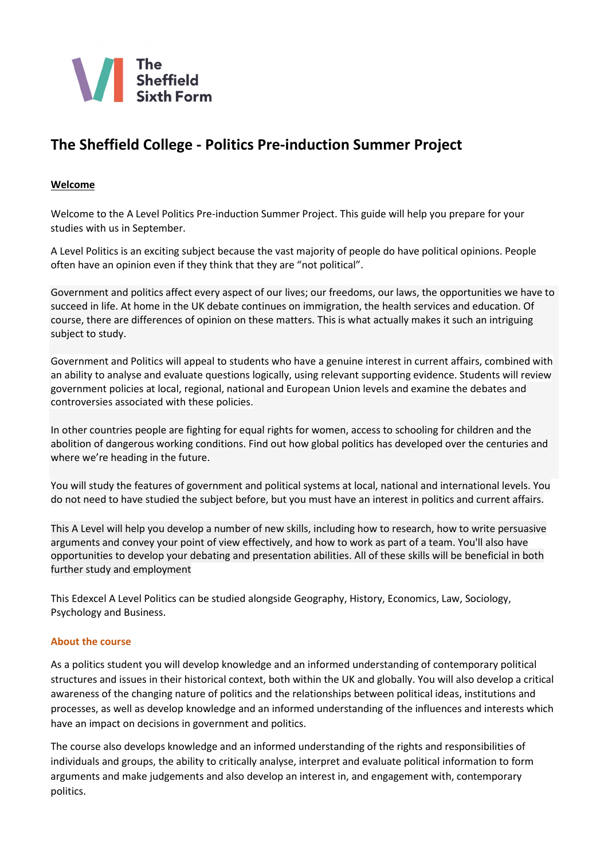

# **The Sheffield College - Politics Pre-induction Summer Project**

## **Welcome**

Welcome to the A Level Politics Pre-induction Summer Project. This guide will help you prepare for your studies with us in September.

A Level Politics is an exciting subject because the vast majority of people do have political opinions. People often have an opinion even if they think that they are "not political".

Government and politics affect every aspect of our lives; our freedoms, our laws, the opportunities we have to succeed in life. At home in the UK debate continues on immigration, the health services and education. Of course, there are differences of opinion on these matters. This is what actually makes it such an intriguing subject to study.

Government and Politics will appeal to students who have a genuine interest in current affairs, combined with an ability to analyse and evaluate questions logically, using relevant supporting evidence. Students will review government policies at local, regional, national and European Union levels and examine the debates and controversies associated with these policies.

In other countries people are fighting for equal rights for women, access to schooling for children and the abolition of dangerous working conditions. Find out how global politics has developed over the centuries and where we're heading in the future.

You will study the features of government and political systems at local, national and international levels. You do not need to have studied the subject before, but you must have an interest in politics and current affairs.

This A Level will help you develop a number of new skills, including how to research, how to write persuasive arguments and convey your point of view effectively, and how to work as part of a team. You'll also have opportunities to develop your debating and presentation abilities. All of these skills will be beneficial in both further study and employment

This Edexcel A Level Politics can be studied alongside Geography, History, Economics, Law, Sociology, Psychology and Business.

## **About the course**

As a politics student you will develop knowledge and an informed understanding of contemporary political structures and issues in their historical context, both within the UK and globally. You will also develop a critical awareness of the changing nature of politics and the relationships between political ideas, institutions and processes, as well as develop knowledge and an informed understanding of the influences and interests which have an impact on decisions in government and politics.

The course also develops knowledge and an informed understanding of the rights and responsibilities of individuals and groups, the ability to critically analyse, interpret and evaluate political information to form arguments and make judgements and also develop an interest in, and engagement with, contemporary politics.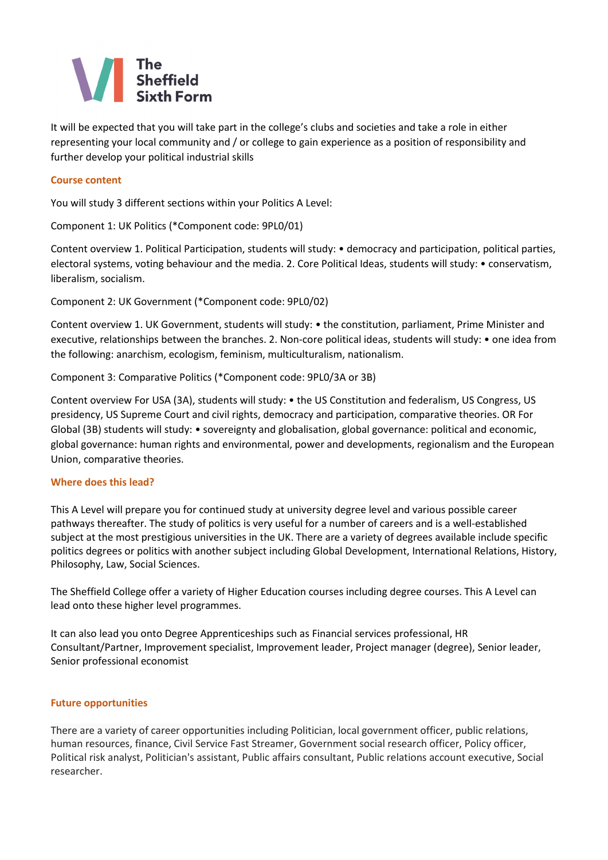

It will be expected that you will take part in the college's clubs and societies and take a role in either representing your local community and / or college to gain experience as a position of responsibility and further develop your political industrial skills

## **Course content**

You will study 3 different sections within your Politics A Level:

Component 1: UK Politics (\*Component code: 9PL0/01)

Content overview 1. Political Participation, students will study: • democracy and participation, political parties, electoral systems, voting behaviour and the media. 2. Core Political Ideas, students will study: • conservatism, liberalism, socialism.

Component 2: UK Government (\*Component code: 9PL0/02)

Content overview 1. UK Government, students will study: • the constitution, parliament, Prime Minister and executive, relationships between the branches. 2. Non-core political ideas, students will study: • one idea from the following: anarchism, ecologism, feminism, multiculturalism, nationalism.

Component 3: Comparative Politics (\*Component code: 9PL0/3A or 3B)

Content overview For USA (3A), students will study: • the US Constitution and federalism, US Congress, US presidency, US Supreme Court and civil rights, democracy and participation, comparative theories. OR For Global (3B) students will study: • sovereignty and globalisation, global governance: political and economic, global governance: human rights and environmental, power and developments, regionalism and the European Union, comparative theories.

#### **Where does this lead?**

This A Level will prepare you for continued study at university degree level and various possible career pathways thereafter. The study of politics is very useful for a number of careers and is a well-established subject at the most prestigious universities in the UK. There are a variety of degrees available include specific politics degrees or politics with another subject including Global Development, International Relations, History, Philosophy, Law, Social Sciences.

The Sheffield College offer a variety of Higher Education courses including degree courses. This A Level can lead onto these higher level programmes.

It can also lead you onto Degree Apprenticeships such a[s Financial services professional,](https://www.instituteforapprenticeships.org/apprenticeship-standards/financial-services-professional) [HR](https://www.instituteforapprenticeships.org/apprenticeship-standards/hr-consultant-partner)  [Consultant/Partner,](https://www.instituteforapprenticeships.org/apprenticeship-standards/hr-consultant-partner) [Improvement specialist,](https://www.instituteforapprenticeships.org/apprenticeship-standards/improvement-specialist) [Improvement leader,](https://www.instituteforapprenticeships.org/apprenticeship-standards/improvement-leader) [Project manager \(degree\),](https://www.instituteforapprenticeships.org/apprenticeship-standards/project-manager-degree) [Senior leader,](https://www.instituteforapprenticeships.org/apprenticeship-standards/senior-leader-degree/) [Senior professional economist](https://www.instituteforapprenticeships.org/apprenticeship-standards/senior-professional-economist/)

## **Future opportunities**

There are a variety of career opportunities including Politician, local government officer, public relations, human resources, finance, Civil Service Fast Streamer, Government social research officer, Policy officer, Political risk analyst, Politician's assistant, Public affairs consultant, Public relations account executive, Social researcher.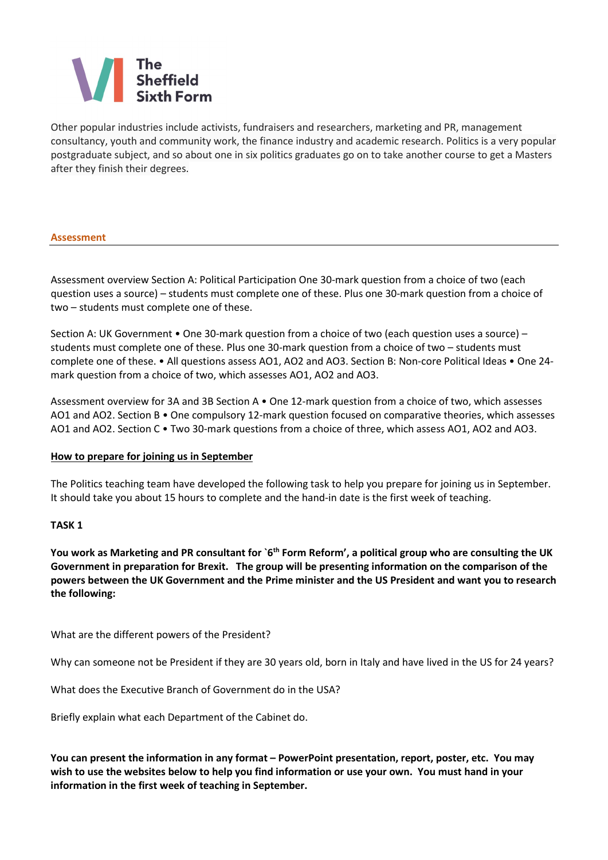# The<br>Sheffield

Other popular industries include activists, fundraisers and researchers, marketing and PR, management consultancy, youth and community work, the finance industry and academic research. Politics is a very popular postgraduate subject, and so about one in six politics graduates go on to take another course to get a Masters after they finish their degrees.

#### **Assessment**

Assessment overview Section A: Political Participation One 30-mark question from a choice of two (each question uses a source) – students must complete one of these. Plus one 30-mark question from a choice of two – students must complete one of these.

Section A: UK Government • One 30-mark question from a choice of two (each question uses a source) – students must complete one of these. Plus one 30-mark question from a choice of two – students must complete one of these. • All questions assess AO1, AO2 and AO3. Section B: Non-core Political Ideas • One 24 mark question from a choice of two, which assesses AO1, AO2 and AO3.

Assessment overview for 3A and 3B Section A • One 12-mark question from a choice of two, which assesses AO1 and AO2. Section B • One compulsory 12-mark question focused on comparative theories, which assesses AO1 and AO2. Section C • Two 30-mark questions from a choice of three, which assess AO1, AO2 and AO3.

## **How to prepare for joining us in September**

The Politics teaching team have developed the following task to help you prepare for joining us in September. It should take you about 15 hours to complete and the hand-in date is the first week of teaching.

## **TASK 1**

You work as Marketing and PR consultant for `6<sup>th</sup> Form Reform', a political group who are consulting the UK **Government in preparation for Brexit. The group will be presenting information on the comparison of the powers between the UK Government and the Prime minister and the US President and want you to research the following:**

What are the different powers of the President?

Why can someone not be President if they are 30 years old, born in Italy and have lived in the US for 24 years?

What does the Executive Branch of Government do in the USA?

Briefly explain what each Department of the Cabinet do.

**You can present the information in any format – PowerPoint presentation, report, poster, etc. You may wish to use the websites below to help you find information or use your own. You must hand in your information in the first week of teaching in September.**